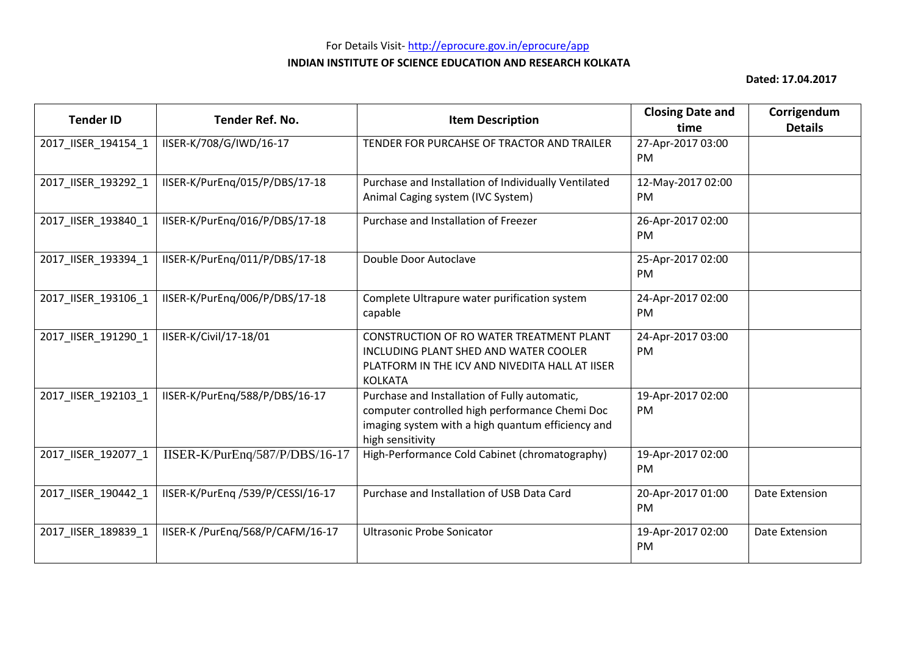| <b>Tender ID</b>    | <b>Tender Ref. No.</b>            | <b>Item Description</b>                                                                                                                                                  | <b>Closing Date and</b><br>time | Corrigendum<br><b>Details</b> |
|---------------------|-----------------------------------|--------------------------------------------------------------------------------------------------------------------------------------------------------------------------|---------------------------------|-------------------------------|
| 2017_IISER_194154_1 | IISER-K/708/G/IWD/16-17           | TENDER FOR PURCAHSE OF TRACTOR AND TRAILER                                                                                                                               | 27-Apr-2017 03:00<br><b>PM</b>  |                               |
| 2017_IISER_193292_1 | IISER-K/PurEng/015/P/DBS/17-18    | Purchase and Installation of Individually Ventilated<br>Animal Caging system (IVC System)                                                                                | 12-May-2017 02:00<br><b>PM</b>  |                               |
| 2017_IISER_193840_1 | IISER-K/PurEng/016/P/DBS/17-18    | Purchase and Installation of Freezer                                                                                                                                     | 26-Apr-2017 02:00<br><b>PM</b>  |                               |
| 2017_IISER_193394_1 | IISER-K/PurEng/011/P/DBS/17-18    | Double Door Autoclave                                                                                                                                                    | 25-Apr-2017 02:00<br><b>PM</b>  |                               |
| 2017_IISER_193106_1 | IISER-K/PurEng/006/P/DBS/17-18    | Complete Ultrapure water purification system<br>capable                                                                                                                  | 24-Apr-2017 02:00<br><b>PM</b>  |                               |
| 2017 IISER 191290 1 | IISER-K/Civil/17-18/01            | CONSTRUCTION OF RO WATER TREATMENT PLANT<br>INCLUDING PLANT SHED AND WATER COOLER<br>PLATFORM IN THE ICV AND NIVEDITA HALL AT IISER<br><b>KOLKATA</b>                    | 24-Apr-2017 03:00<br><b>PM</b>  |                               |
| 2017 IISER 192103 1 | IISER-K/PurEng/588/P/DBS/16-17    | Purchase and Installation of Fully automatic,<br>computer controlled high performance Chemi Doc<br>imaging system with a high quantum efficiency and<br>high sensitivity | 19-Apr-2017 02:00<br>PM         |                               |
| 2017_IISER_192077_1 | IISER-K/PurEnq/587/P/DBS/16-17    | High-Performance Cold Cabinet (chromatography)                                                                                                                           | 19-Apr-2017 02:00<br>PM         |                               |
| 2017_IISER_190442_1 | IISER-K/PurEng /539/P/CESSI/16-17 | Purchase and Installation of USB Data Card                                                                                                                               | 20-Apr-2017 01:00<br><b>PM</b>  | Date Extension                |
| 2017_IISER_189839_1 | IISER-K /PurEng/568/P/CAFM/16-17  | <b>Ultrasonic Probe Sonicator</b>                                                                                                                                        | 19-Apr-2017 02:00<br>PM         | Date Extension                |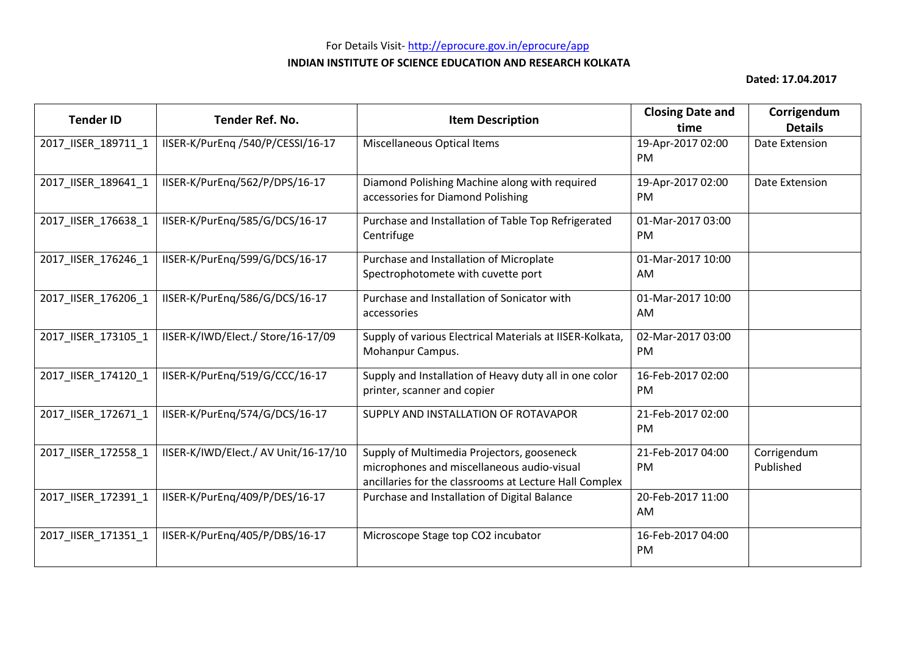| <b>Tender ID</b>    | <b>Tender Ref. No.</b>               | <b>Item Description</b>                                                                                                                            | <b>Closing Date and</b><br>time | Corrigendum<br><b>Details</b> |
|---------------------|--------------------------------------|----------------------------------------------------------------------------------------------------------------------------------------------------|---------------------------------|-------------------------------|
| 2017_IISER_189711_1 | IISER-K/PurEng /540/P/CESSI/16-17    | <b>Miscellaneous Optical Items</b>                                                                                                                 | 19-Apr-2017 02:00<br><b>PM</b>  | Date Extension                |
| 2017_IISER_189641_1 | IISER-K/PurEng/562/P/DPS/16-17       | Diamond Polishing Machine along with required<br>accessories for Diamond Polishing                                                                 | 19-Apr-2017 02:00<br>PM         | Date Extension                |
| 2017_IISER_176638_1 | IISER-K/PurEng/585/G/DCS/16-17       | Purchase and Installation of Table Top Refrigerated<br>Centrifuge                                                                                  | 01-Mar-2017 03:00<br><b>PM</b>  |                               |
| 2017_IISER_176246_1 | IISER-K/PurEng/599/G/DCS/16-17       | Purchase and Installation of Microplate<br>Spectrophotomete with cuvette port                                                                      | 01-Mar-2017 10:00<br>AM         |                               |
| 2017_IISER_176206_1 | IISER-K/PurEng/586/G/DCS/16-17       | Purchase and Installation of Sonicator with<br>accessories                                                                                         | 01-Mar-2017 10:00<br>AM         |                               |
| 2017_IISER_173105_1 | IISER-K/IWD/Elect./ Store/16-17/09   | Supply of various Electrical Materials at IISER-Kolkata,<br>Mohanpur Campus.                                                                       | 02-Mar-2017 03:00<br>PM         |                               |
| 2017 IISER 174120 1 | IISER-K/PurEnq/519/G/CCC/16-17       | Supply and Installation of Heavy duty all in one color<br>printer, scanner and copier                                                              | 16-Feb-2017 02:00<br>PM         |                               |
| 2017_IISER_172671_1 | IISER-K/PurEng/574/G/DCS/16-17       | SUPPLY AND INSTALLATION OF ROTAVAPOR                                                                                                               | 21-Feb-2017 02:00<br>PM         |                               |
| 2017_IISER_172558_1 | IISER-K/IWD/Elect./ AV Unit/16-17/10 | Supply of Multimedia Projectors, gooseneck<br>microphones and miscellaneous audio-visual<br>ancillaries for the classrooms at Lecture Hall Complex | 21-Feb-2017 04:00<br><b>PM</b>  | Corrigendum<br>Published      |
| 2017_IISER_172391_1 | IISER-K/PurEng/409/P/DES/16-17       | Purchase and Installation of Digital Balance                                                                                                       | 20-Feb-2017 11:00<br><b>AM</b>  |                               |
| 2017_IISER_171351_1 | IISER-K/PurEng/405/P/DBS/16-17       | Microscope Stage top CO2 incubator                                                                                                                 | 16-Feb-2017 04:00<br>PM         |                               |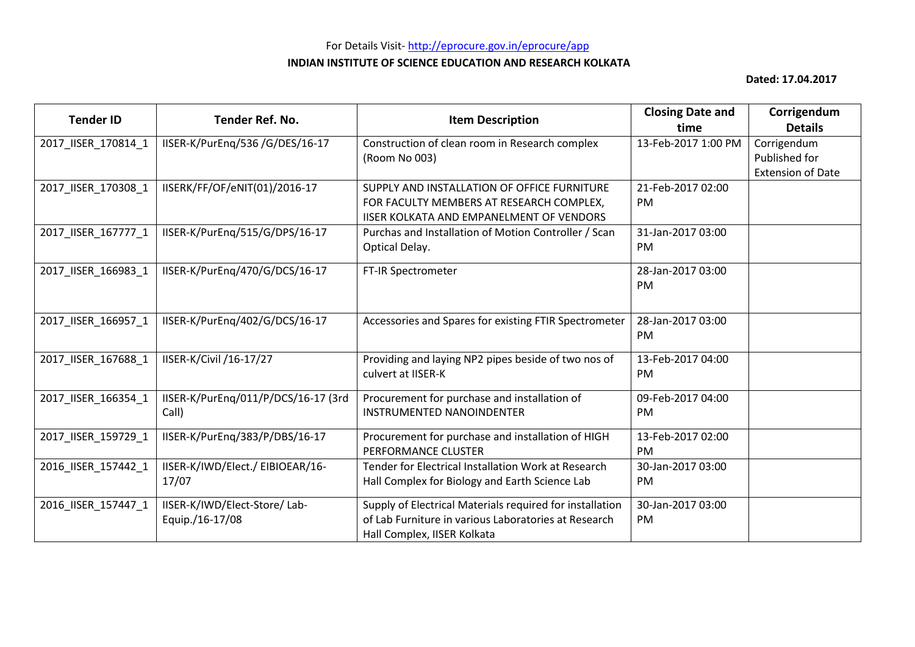# For Details Visit- http://eprocure.gov.in/eprocure/app **INDIAN INSTITUTE OF SCIENCE EDUCATION AND RESEARCH KOLKATA**

| <b>Tender ID</b>    | Tender Ref. No.                     | <b>Item Description</b>                                  | <b>Closing Date and</b> | Corrigendum              |
|---------------------|-------------------------------------|----------------------------------------------------------|-------------------------|--------------------------|
|                     |                                     |                                                          | time                    | <b>Details</b>           |
| 2017_IISER_170814_1 | IISER-K/PurEnq/536 /G/DES/16-17     | Construction of clean room in Research complex           | 13-Feb-2017 1:00 PM     | Corrigendum              |
|                     |                                     | (Room No 003)                                            |                         | Published for            |
|                     |                                     |                                                          |                         | <b>Extension of Date</b> |
| 2017_IISER_170308_1 | IISERK/FF/OF/eNIT(01)/2016-17       | SUPPLY AND INSTALLATION OF OFFICE FURNITURE              | 21-Feb-2017 02:00       |                          |
|                     |                                     | FOR FACULTY MEMBERS AT RESEARCH COMPLEX,                 | <b>PM</b>               |                          |
|                     |                                     | IISER KOLKATA AND EMPANELMENT OF VENDORS                 |                         |                          |
| 2017_IISER_167777_1 | IISER-K/PurEng/515/G/DPS/16-17      | Purchas and Installation of Motion Controller / Scan     | 31-Jan-2017 03:00       |                          |
|                     |                                     | Optical Delay.                                           | PM                      |                          |
|                     |                                     |                                                          |                         |                          |
| 2017_IISER_166983_1 | IISER-K/PurEng/470/G/DCS/16-17      | FT-IR Spectrometer                                       | 28-Jan-2017 03:00       |                          |
|                     |                                     |                                                          | PM                      |                          |
|                     |                                     |                                                          |                         |                          |
| 2017_IISER_166957_1 | IISER-K/PurEng/402/G/DCS/16-17      | Accessories and Spares for existing FTIR Spectrometer    | 28-Jan-2017 03:00       |                          |
|                     |                                     |                                                          | <b>PM</b>               |                          |
|                     |                                     |                                                          |                         |                          |
| 2017 IISER 167688 1 | IISER-K/Civil /16-17/27             | Providing and laying NP2 pipes beside of two nos of      | 13-Feb-2017 04:00       |                          |
|                     |                                     | culvert at IISER-K                                       | PM.                     |                          |
|                     |                                     |                                                          |                         |                          |
| 2017_IISER_166354_1 | IISER-K/PurEng/011/P/DCS/16-17 (3rd | Procurement for purchase and installation of             | 09-Feb-2017 04:00       |                          |
|                     | Call)                               | INSTRUMENTED NANOINDENTER                                | <b>PM</b>               |                          |
| 2017_IISER_159729_1 | IISER-K/PurEng/383/P/DBS/16-17      | Procurement for purchase and installation of HIGH        | 13-Feb-2017 02:00       |                          |
|                     |                                     | PERFORMANCE CLUSTER                                      | <b>PM</b>               |                          |
| 2016_IISER_157442_1 | IISER-K/IWD/Elect./ EIBIOEAR/16-    | Tender for Electrical Installation Work at Research      | 30-Jan-2017 03:00       |                          |
|                     | 17/07                               | Hall Complex for Biology and Earth Science Lab           | PM                      |                          |
|                     |                                     |                                                          |                         |                          |
| 2016_IISER_157447_1 | IISER-K/IWD/Elect-Store/ Lab-       | Supply of Electrical Materials required for installation | 30-Jan-2017 03:00       |                          |
|                     | Equip./16-17/08                     | of Lab Furniture in various Laboratories at Research     | <b>PM</b>               |                          |
|                     |                                     | Hall Complex, IISER Kolkata                              |                         |                          |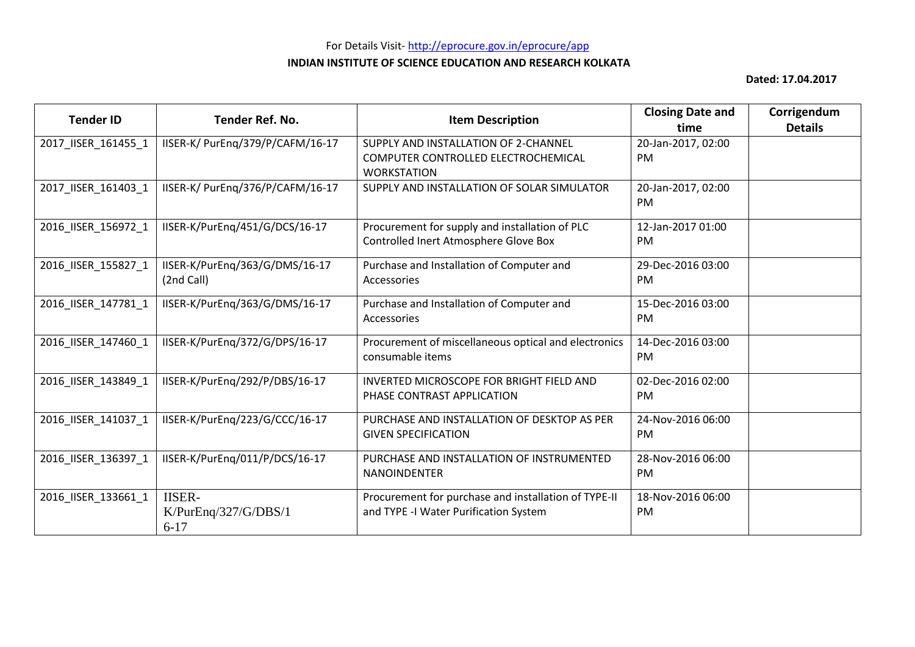| <b>Tender ID</b>    | Tender Ref. No.                                   | <b>Item Description</b>                                                                       | <b>Closing Date and</b><br>time | Corrigendum<br><b>Details</b> |
|---------------------|---------------------------------------------------|-----------------------------------------------------------------------------------------------|---------------------------------|-------------------------------|
| 2017_IISER_161455_1 | IISER-K/ PurEng/379/P/CAFM/16-17                  | SUPPLY AND INSTALLATION OF 2-CHANNEL                                                          | 20-Jan-2017, 02:00              |                               |
|                     |                                                   | COMPUTER CONTROLLED ELECTROCHEMICAL<br><b>WORKSTATION</b>                                     | <b>PM</b>                       |                               |
| 2017_IISER_161403_1 | IISER-K/ PurEng/376/P/CAFM/16-17                  | SUPPLY AND INSTALLATION OF SOLAR SIMULATOR                                                    | 20-Jan-2017, 02:00<br>PM        |                               |
| 2016 IISER 156972 1 | IISER-K/PurEng/451/G/DCS/16-17                    | Procurement for supply and installation of PLC<br>Controlled Inert Atmosphere Glove Box       | 12-Jan-2017 01:00<br>PM         |                               |
| 2016_IISER_155827_1 | IISER-K/PurEng/363/G/DMS/16-17<br>(2nd Call)      | Purchase and Installation of Computer and<br>Accessories                                      | 29-Dec-2016 03:00<br><b>PM</b>  |                               |
| 2016_IISER_147781_1 | IISER-K/PurEng/363/G/DMS/16-17                    | Purchase and Installation of Computer and<br>Accessories                                      | 15-Dec-2016 03:00<br>PM         |                               |
| 2016 IISER 147460 1 | IISER-K/PurEng/372/G/DPS/16-17                    | Procurement of miscellaneous optical and electronics<br>consumable items                      | 14-Dec-2016 03:00<br><b>PM</b>  |                               |
| 2016_IISER_143849_1 | IISER-K/PurEng/292/P/DBS/16-17                    | <b>INVERTED MICROSCOPE FOR BRIGHT FIELD AND</b><br>PHASE CONTRAST APPLICATION                 | 02-Dec-2016 02:00<br><b>PM</b>  |                               |
| 2016 IISER 141037 1 | IISER-K/PurEng/223/G/CCC/16-17                    | PURCHASE AND INSTALLATION OF DESKTOP AS PER<br><b>GIVEN SPECIFICATION</b>                     | 24-Nov-2016 06:00<br>PM         |                               |
| 2016_IISER_136397_1 | IISER-K/PurEng/011/P/DCS/16-17                    | PURCHASE AND INSTALLATION OF INSTRUMENTED<br><b>NANOINDENTER</b>                              | 28-Nov-2016 06:00<br>PM         |                               |
| 2016_IISER_133661_1 | <b>IISER-</b><br>K/PurEnq/327/G/DBS/1<br>$6 - 17$ | Procurement for purchase and installation of TYPE-II<br>and TYPE -I Water Purification System | 18-Nov-2016 06:00<br><b>PM</b>  |                               |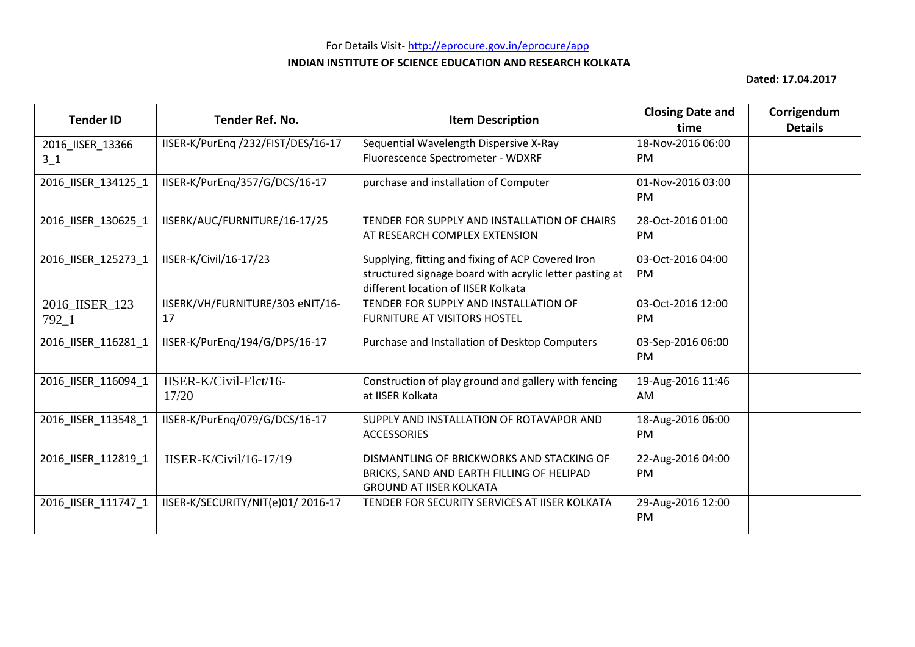| <b>Tender ID</b>            | <b>Tender Ref. No.</b>                 | <b>Item Description</b>                                                                                                                             | <b>Closing Date and</b><br>time | Corrigendum<br><b>Details</b> |
|-----------------------------|----------------------------------------|-----------------------------------------------------------------------------------------------------------------------------------------------------|---------------------------------|-------------------------------|
| 2016_IISER_13366            | IISER-K/PurEng /232/FIST/DES/16-17     | Sequential Wavelength Dispersive X-Ray                                                                                                              | 18-Nov-2016 06:00               |                               |
| $3-1$                       |                                        | Fluorescence Spectrometer - WDXRF                                                                                                                   | PM.                             |                               |
| 2016_IISER_134125_1         | IISER-K/PurEng/357/G/DCS/16-17         | purchase and installation of Computer                                                                                                               | 01-Nov-2016 03:00<br>PM         |                               |
| 2016_IISER_130625_1         | IISERK/AUC/FURNITURE/16-17/25          | TENDER FOR SUPPLY AND INSTALLATION OF CHAIRS<br>AT RESEARCH COMPLEX EXTENSION                                                                       | 28-Oct-2016 01:00<br><b>PM</b>  |                               |
| 2016_IISER_125273_1         | IISER-K/Civil/16-17/23                 | Supplying, fitting and fixing of ACP Covered Iron<br>structured signage board with acrylic letter pasting at<br>different location of IISER Kolkata | 03-Oct-2016 04:00<br><b>PM</b>  |                               |
| 2016_IISER_123<br>$792 - 1$ | IISERK/VH/FURNITURE/303 eNIT/16-<br>17 | TENDER FOR SUPPLY AND INSTALLATION OF<br><b>FURNITURE AT VISITORS HOSTEL</b>                                                                        | 03-Oct-2016 12:00<br><b>PM</b>  |                               |
| 2016_IISER_116281_1         | IISER-K/PurEng/194/G/DPS/16-17         | Purchase and Installation of Desktop Computers                                                                                                      | 03-Sep-2016 06:00<br>PM         |                               |
| 2016 IISER 116094 1         | IISER-K/Civil-Elct/16-<br>17/20        | Construction of play ground and gallery with fencing<br>at IISER Kolkata                                                                            | 19-Aug-2016 11:46<br>AM         |                               |
| 2016_IISER_113548_1         | IISER-K/PurEng/079/G/DCS/16-17         | SUPPLY AND INSTALLATION OF ROTAVAPOR AND<br><b>ACCESSORIES</b>                                                                                      | 18-Aug-2016 06:00<br><b>PM</b>  |                               |
| 2016_IISER_112819_1         | IISER-K/Civil/16-17/19                 | DISMANTLING OF BRICKWORKS AND STACKING OF<br>BRICKS, SAND AND EARTH FILLING OF HELIPAD<br><b>GROUND AT IISER KOLKATA</b>                            | 22-Aug-2016 04:00<br><b>PM</b>  |                               |
| 2016_IISER_111747_1         | IISER-K/SECURITY/NIT(e)01/2016-17      | TENDER FOR SECURITY SERVICES AT IISER KOLKATA                                                                                                       | 29-Aug-2016 12:00<br>PM         |                               |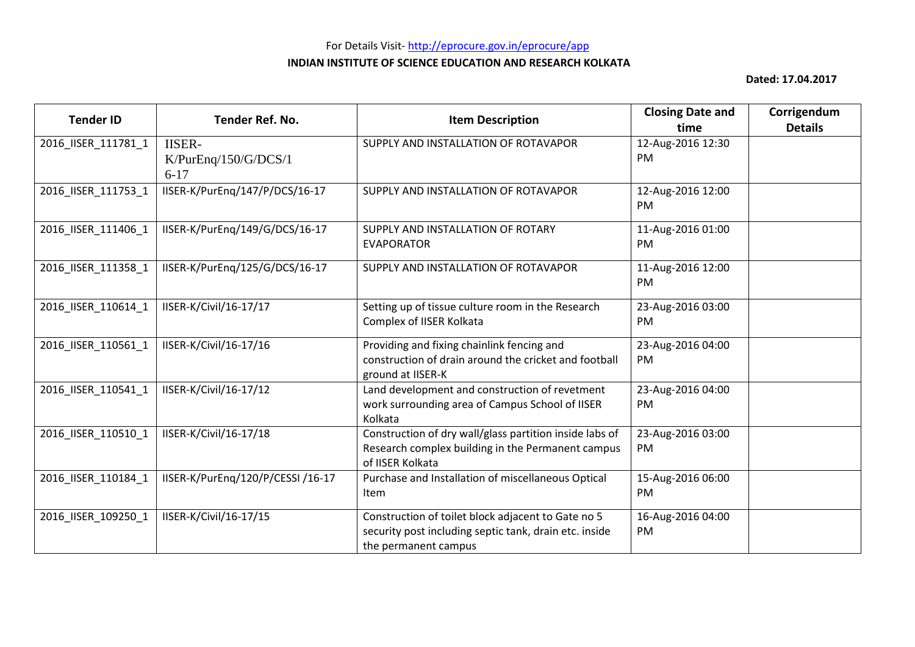| <b>Tender ID</b>    | Tender Ref. No.                                    | <b>Item Description</b>                                                                                                              | <b>Closing Date and</b><br>time | Corrigendum<br><b>Details</b> |
|---------------------|----------------------------------------------------|--------------------------------------------------------------------------------------------------------------------------------------|---------------------------------|-------------------------------|
| 2016_IISER_111781_1 | <b>IISER-</b><br>K/ PurEnq/150/G/DCS/1<br>$6 - 17$ | SUPPLY AND INSTALLATION OF ROTAVAPOR                                                                                                 | 12-Aug-2016 12:30<br>PM         |                               |
| 2016_IISER_111753_1 | IISER-K/PurEng/147/P/DCS/16-17                     | SUPPLY AND INSTALLATION OF ROTAVAPOR                                                                                                 | 12-Aug-2016 12:00<br><b>PM</b>  |                               |
| 2016_IISER_111406_1 | IISER-K/PurEng/149/G/DCS/16-17                     | SUPPLY AND INSTALLATION OF ROTARY<br><b>EVAPORATOR</b>                                                                               | 11-Aug-2016 01:00<br>PM         |                               |
| 2016_IISER_111358_1 | IISER-K/PurEng/125/G/DCS/16-17                     | SUPPLY AND INSTALLATION OF ROTAVAPOR                                                                                                 | 11-Aug-2016 12:00<br>PM         |                               |
| 2016 IISER 110614 1 | IISER-K/Civil/16-17/17                             | Setting up of tissue culture room in the Research<br>Complex of IISER Kolkata                                                        | 23-Aug-2016 03:00<br>PM         |                               |
| 2016 IISER 110561 1 | IISER-K/Civil/16-17/16                             | Providing and fixing chainlink fencing and<br>construction of drain around the cricket and football<br>ground at IISER-K             | 23-Aug-2016 04:00<br><b>PM</b>  |                               |
| 2016_IISER_110541_1 | IISER-K/Civil/16-17/12                             | Land development and construction of revetment<br>work surrounding area of Campus School of IISER<br>Kolkata                         | 23-Aug-2016 04:00<br>PM         |                               |
| 2016_IISER_110510_1 | IISER-K/Civil/16-17/18                             | Construction of dry wall/glass partition inside labs of<br>Research complex building in the Permanent campus<br>of IISER Kolkata     | 23-Aug-2016 03:00<br>PM         |                               |
| 2016_IISER_110184_1 | IISER-K/PurEng/120/P/CESSI /16-17                  | Purchase and Installation of miscellaneous Optical<br>Item                                                                           | 15-Aug-2016 06:00<br><b>PM</b>  |                               |
| 2016_IISER_109250_1 | IISER-K/Civil/16-17/15                             | Construction of toilet block adjacent to Gate no 5<br>security post including septic tank, drain etc. inside<br>the permanent campus | 16-Aug-2016 04:00<br>PM         |                               |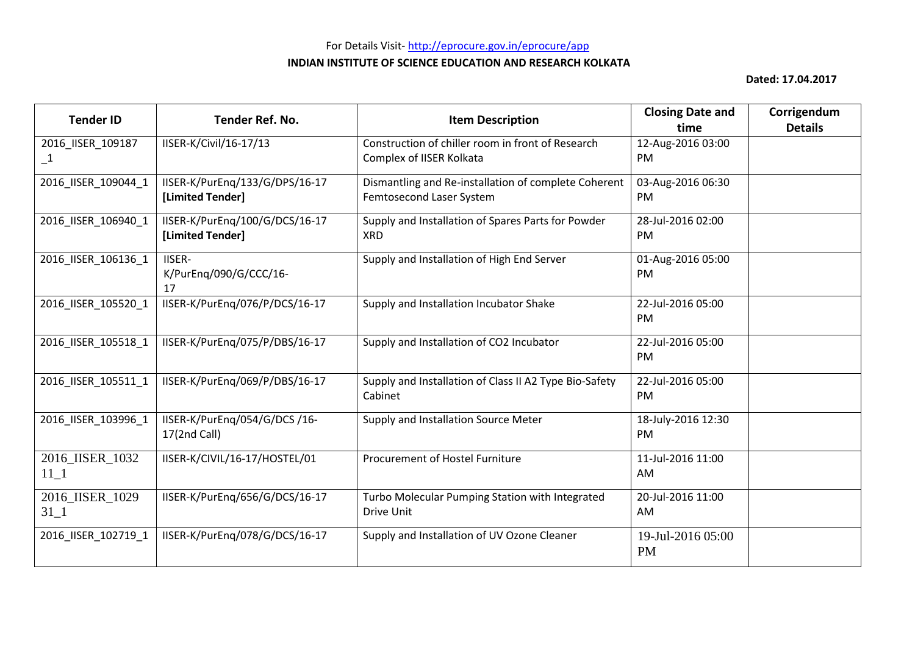# For Details Visit- http://eprocure.gov.in/eprocure/app **INDIAN INSTITUTE OF SCIENCE EDUCATION AND RESEARCH KOLKATA**

| <b>Tender ID</b>                  | <b>Tender Ref. No.</b>                             | <b>Item Description</b>                                                          | <b>Closing Date and</b><br>time | Corrigendum<br><b>Details</b> |
|-----------------------------------|----------------------------------------------------|----------------------------------------------------------------------------------|---------------------------------|-------------------------------|
| 2016_IISER_109187<br>$\mathbf{1}$ | IISER-K/Civil/16-17/13                             | Construction of chiller room in front of Research<br>Complex of IISER Kolkata    | 12-Aug-2016 03:00<br>PM         |                               |
| 2016_IISER_109044_1               | IISER-K/PurEng/133/G/DPS/16-17<br>[Limited Tender] | Dismantling and Re-installation of complete Coherent<br>Femtosecond Laser System | 03-Aug-2016 06:30<br><b>PM</b>  |                               |
| 2016_IISER_106940_1               | IISER-K/PurEng/100/G/DCS/16-17<br>[Limited Tender] | Supply and Installation of Spares Parts for Powder<br><b>XRD</b>                 | 28-Jul-2016 02:00<br><b>PM</b>  |                               |
| 2016_IISER_106136_1               | <b>IISER-</b><br>K/PurEng/090/G/CCC/16-<br>17      | Supply and Installation of High End Server                                       | 01-Aug-2016 05:00<br><b>PM</b>  |                               |
| 2016_IISER_105520_1               | IISER-K/PurEng/076/P/DCS/16-17                     | Supply and Installation Incubator Shake                                          | 22-Jul-2016 05:00<br><b>PM</b>  |                               |
| 2016 IISER 105518 1               | IISER-K/PurEng/075/P/DBS/16-17                     | Supply and Installation of CO2 Incubator                                         | 22-Jul-2016 05:00<br>PM         |                               |
| 2016_IISER_105511_1               | IISER-K/PurEng/069/P/DBS/16-17                     | Supply and Installation of Class II A2 Type Bio-Safety<br>Cabinet                | 22-Jul-2016 05:00<br>PM         |                               |
| 2016_IISER_103996_1               | IISER-K/PurEnq/054/G/DCS/16-<br>17(2nd Call)       | Supply and Installation Source Meter                                             | 18-July-2016 12:30<br><b>PM</b> |                               |
| 2016_IISER_1032<br>$11\_1$        | IISER-K/CIVIL/16-17/HOSTEL/01                      | Procurement of Hostel Furniture                                                  | 11-Jul-2016 11:00<br>AM         |                               |
| 2016 IISER 1029<br>$31 - 1$       | IISER-K/PurEng/656/G/DCS/16-17                     | Turbo Molecular Pumping Station with Integrated<br>Drive Unit                    | 20-Jul-2016 11:00<br>AM         |                               |
| 2016 IISER 102719 1               | IISER-K/PurEnq/078/G/DCS/16-17                     | Supply and Installation of UV Ozone Cleaner                                      | 19-Jul-2016 05:00<br><b>PM</b>  |                               |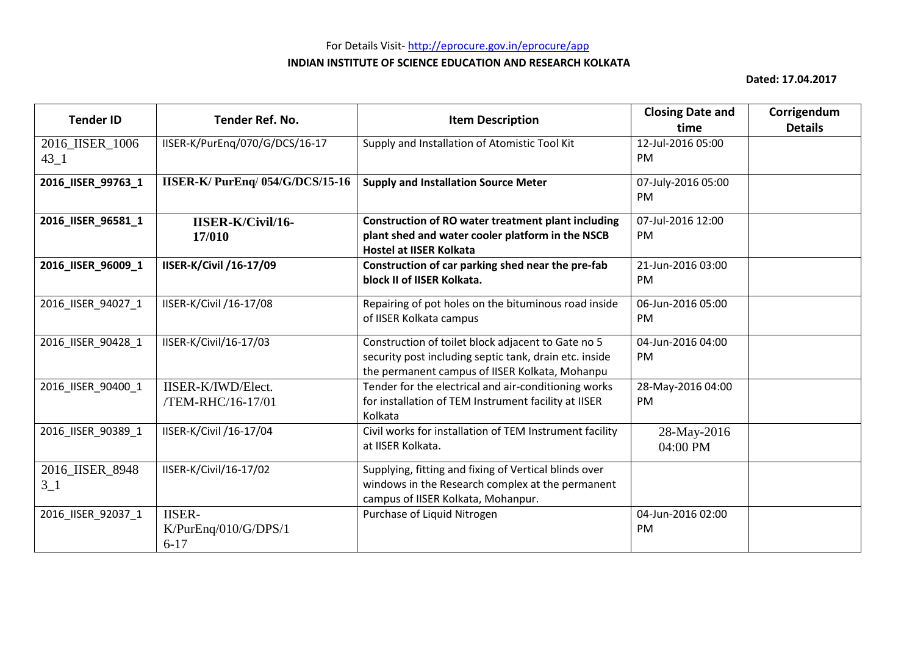| <b>Tender ID</b>            | Tender Ref. No.                                   | <b>Item Description</b>                                                                                                                                        | <b>Closing Date and</b><br>time | Corrigendum<br><b>Details</b> |
|-----------------------------|---------------------------------------------------|----------------------------------------------------------------------------------------------------------------------------------------------------------------|---------------------------------|-------------------------------|
| 2016_IISER_1006<br>$43 - 1$ | IISER-K/PurEng/070/G/DCS/16-17                    | Supply and Installation of Atomistic Tool Kit                                                                                                                  | 12-Jul-2016 05:00<br><b>PM</b>  |                               |
| 2016_IISER_99763_1          | <b>IISER-K/PurEnq/054/G/DCS/15-16</b>             | <b>Supply and Installation Source Meter</b>                                                                                                                    | 07-July-2016 05:00<br>PM        |                               |
| 2016_IISER_96581_1          | <b>IISER-K/Civil/16-</b><br>17/010                | <b>Construction of RO water treatment plant including</b><br>plant shed and water cooler platform in the NSCB<br><b>Hostel at IISER Kolkata</b>                | 07-Jul-2016 12:00<br>PM         |                               |
| 2016_IISER_96009_1          | IISER-K/Civil /16-17/09                           | Construction of car parking shed near the pre-fab<br>block II of IISER Kolkata.                                                                                | 21-Jun-2016 03:00<br><b>PM</b>  |                               |
| 2016_IISER_94027_1          | IISER-K/Civil /16-17/08                           | Repairing of pot holes on the bituminous road inside<br>of IISER Kolkata campus                                                                                | 06-Jun-2016 05:00<br><b>PM</b>  |                               |
| 2016_IISER_90428_1          | IISER-K/Civil/16-17/03                            | Construction of toilet block adjacent to Gate no 5<br>security post including septic tank, drain etc. inside<br>the permanent campus of IISER Kolkata, Mohanpu | 04-Jun-2016 04:00<br>PM         |                               |
| 2016 IISER 90400 1          | IISER-K/IWD/Elect.<br>/TEM-RHC/16-17/01           | Tender for the electrical and air-conditioning works<br>for installation of TEM Instrument facility at IISER<br>Kolkata                                        | 28-May-2016 04:00<br><b>PM</b>  |                               |
| 2016_IISER_90389_1          | IISER-K/Civil /16-17/04                           | Civil works for installation of TEM Instrument facility<br>at IISER Kolkata.                                                                                   | 28-May-2016<br>04:00 PM         |                               |
| 2016_IISER_8948<br>$3-1$    | IISER-K/Civil/16-17/02                            | Supplying, fitting and fixing of Vertical blinds over<br>windows in the Research complex at the permanent<br>campus of IISER Kolkata, Mohanpur.                |                                 |                               |
| 2016 IISER 92037 1          | <b>IISER-</b><br>K/PurEnq/010/G/DPS/1<br>$6 - 17$ | Purchase of Liquid Nitrogen                                                                                                                                    | 04-Jun-2016 02:00<br><b>PM</b>  |                               |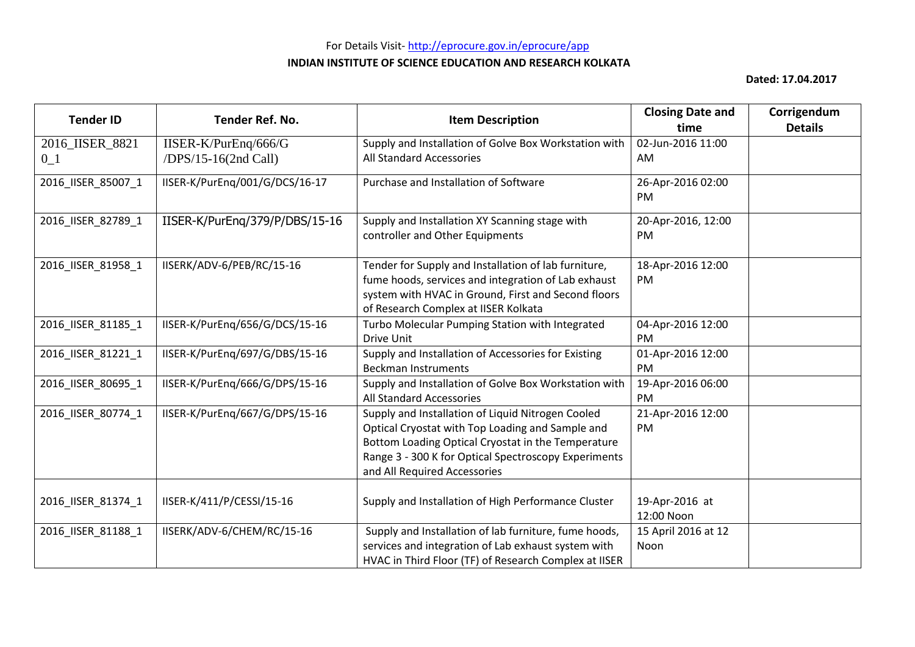| <b>Tender ID</b>         | Tender Ref. No.                              | <b>Item Description</b>                                                                                                                                                                                                                             | <b>Closing Date and</b><br>time | Corrigendum<br><b>Details</b> |
|--------------------------|----------------------------------------------|-----------------------------------------------------------------------------------------------------------------------------------------------------------------------------------------------------------------------------------------------------|---------------------------------|-------------------------------|
| 2016_IISER_8821<br>$0_1$ | IISER-K/PurEnq/666/G<br>/DPS/15-16(2nd Call) | Supply and Installation of Golve Box Workstation with<br>All Standard Accessories                                                                                                                                                                   | 02-Jun-2016 11:00<br>AM         |                               |
| 2016_IISER_85007_1       | IISER-K/PurEng/001/G/DCS/16-17               | Purchase and Installation of Software                                                                                                                                                                                                               | 26-Apr-2016 02:00<br><b>PM</b>  |                               |
| 2016_IISER_82789_1       | IISER-K/PurEng/379/P/DBS/15-16               | Supply and Installation XY Scanning stage with<br>controller and Other Equipments                                                                                                                                                                   | 20-Apr-2016, 12:00<br>PM        |                               |
| 2016_IISER_81958_1       | IISERK/ADV-6/PEB/RC/15-16                    | Tender for Supply and Installation of lab furniture,<br>fume hoods, services and integration of Lab exhaust<br>system with HVAC in Ground, First and Second floors<br>of Research Complex at IISER Kolkata                                          | 18-Apr-2016 12:00<br>PM         |                               |
| 2016_IISER_81185_1       | IISER-K/PurEng/656/G/DCS/15-16               | Turbo Molecular Pumping Station with Integrated<br>Drive Unit                                                                                                                                                                                       | 04-Apr-2016 12:00<br><b>PM</b>  |                               |
| 2016_IISER_81221_1       | IISER-K/PurEng/697/G/DBS/15-16               | Supply and Installation of Accessories for Existing<br><b>Beckman Instruments</b>                                                                                                                                                                   | 01-Apr-2016 12:00<br>PM         |                               |
| 2016 IISER 80695 1       | IISER-K/PurEng/666/G/DPS/15-16               | Supply and Installation of Golve Box Workstation with<br>All Standard Accessories                                                                                                                                                                   | 19-Apr-2016 06:00<br>PM         |                               |
| 2016_IISER_80774_1       | IISER-K/PurEng/667/G/DPS/15-16               | Supply and Installation of Liquid Nitrogen Cooled<br>Optical Cryostat with Top Loading and Sample and<br>Bottom Loading Optical Cryostat in the Temperature<br>Range 3 - 300 K for Optical Spectroscopy Experiments<br>and All Required Accessories | 21-Apr-2016 12:00<br>PM         |                               |
| 2016_IISER_81374_1       | IISER-K/411/P/CESSI/15-16                    | Supply and Installation of High Performance Cluster                                                                                                                                                                                                 | 19-Apr-2016 at<br>12:00 Noon    |                               |
| 2016 IISER 81188 1       | IISERK/ADV-6/CHEM/RC/15-16                   | Supply and Installation of lab furniture, fume hoods,<br>services and integration of Lab exhaust system with<br>HVAC in Third Floor (TF) of Research Complex at IISER                                                                               | 15 April 2016 at 12<br>Noon     |                               |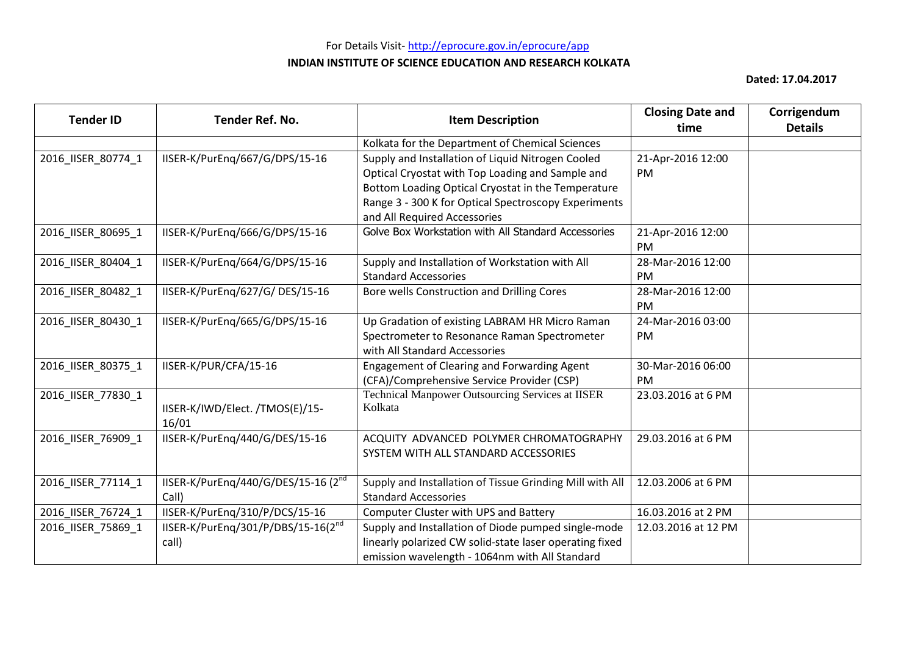# For Details Visit- http://eprocure.gov.in/eprocure/app **INDIAN INSTITUTE OF SCIENCE EDUCATION AND RESEARCH KOLKATA**

| <b>Tender ID</b>   | Tender Ref. No.                                 | <b>Item Description</b>                                  | <b>Closing Date and</b><br>time | Corrigendum<br><b>Details</b> |
|--------------------|-------------------------------------------------|----------------------------------------------------------|---------------------------------|-------------------------------|
|                    |                                                 | Kolkata for the Department of Chemical Sciences          |                                 |                               |
| 2016_IISER_80774_1 | IISER-K/PurEng/667/G/DPS/15-16                  | Supply and Installation of Liquid Nitrogen Cooled        | 21-Apr-2016 12:00               |                               |
|                    |                                                 | Optical Cryostat with Top Loading and Sample and         | PM                              |                               |
|                    |                                                 | Bottom Loading Optical Cryostat in the Temperature       |                                 |                               |
|                    |                                                 | Range 3 - 300 K for Optical Spectroscopy Experiments     |                                 |                               |
|                    |                                                 | and All Required Accessories                             |                                 |                               |
| 2016_IISER_80695_1 | IISER-K/PurEng/666/G/DPS/15-16                  | Golve Box Workstation with All Standard Accessories      | 21-Apr-2016 12:00               |                               |
|                    |                                                 |                                                          | <b>PM</b>                       |                               |
| 2016_IISER_80404_1 | IISER-K/PurEng/664/G/DPS/15-16                  | Supply and Installation of Workstation with All          | 28-Mar-2016 12:00               |                               |
|                    |                                                 | <b>Standard Accessories</b>                              | <b>PM</b>                       |                               |
| 2016_IISER_80482_1 | IISER-K/PurEng/627/G/DES/15-16                  | Bore wells Construction and Drilling Cores               | 28-Mar-2016 12:00               |                               |
|                    |                                                 |                                                          | <b>PM</b>                       |                               |
| 2016 IISER 80430 1 | IISER-K/PurEng/665/G/DPS/15-16                  | Up Gradation of existing LABRAM HR Micro Raman           | 24-Mar-2016 03:00               |                               |
|                    |                                                 | Spectrometer to Resonance Raman Spectrometer             | PM.                             |                               |
|                    |                                                 | with All Standard Accessories                            |                                 |                               |
| 2016_IISER_80375_1 | IISER-K/PUR/CFA/15-16                           | Engagement of Clearing and Forwarding Agent              | 30-Mar-2016 06:00               |                               |
|                    |                                                 | (CFA)/Comprehensive Service Provider (CSP)               | <b>PM</b>                       |                               |
| 2016_IISER_77830_1 |                                                 | <b>Technical Manpower Outsourcing Services at IISER</b>  | 23.03.2016 at 6 PM              |                               |
|                    | IISER-K/IWD/Elect. /TMOS(E)/15-                 | Kolkata                                                  |                                 |                               |
|                    | 16/01                                           |                                                          |                                 |                               |
| 2016_IISER_76909_1 | IISER-K/PurEng/440/G/DES/15-16                  | ACQUITY ADVANCED POLYMER CHROMATOGRAPHY                  | 29.03.2016 at 6 PM              |                               |
|                    |                                                 | SYSTEM WITH ALL STANDARD ACCESSORIES                     |                                 |                               |
|                    |                                                 |                                                          |                                 |                               |
| 2016_IISER_77114_1 | IISER-K/PurEng/440/G/DES/15-16 (2 <sup>nd</sup> | Supply and Installation of Tissue Grinding Mill with All | 12.03.2006 at 6 PM              |                               |
|                    | Call)                                           | <b>Standard Accessories</b>                              |                                 |                               |
| 2016_IISER_76724_1 | IISER-K/PurEnq/310/P/DCS/15-16                  | Computer Cluster with UPS and Battery                    | 16.03.2016 at 2 PM              |                               |
| 2016_IISER_75869_1 | IISER-K/PurEnq/301/P/DBS/15-16(2nd              | Supply and Installation of Diode pumped single-mode      | 12.03.2016 at 12 PM             |                               |
|                    | call)                                           | linearly polarized CW solid-state laser operating fixed  |                                 |                               |
|                    |                                                 | emission wavelength - 1064nm with All Standard           |                                 |                               |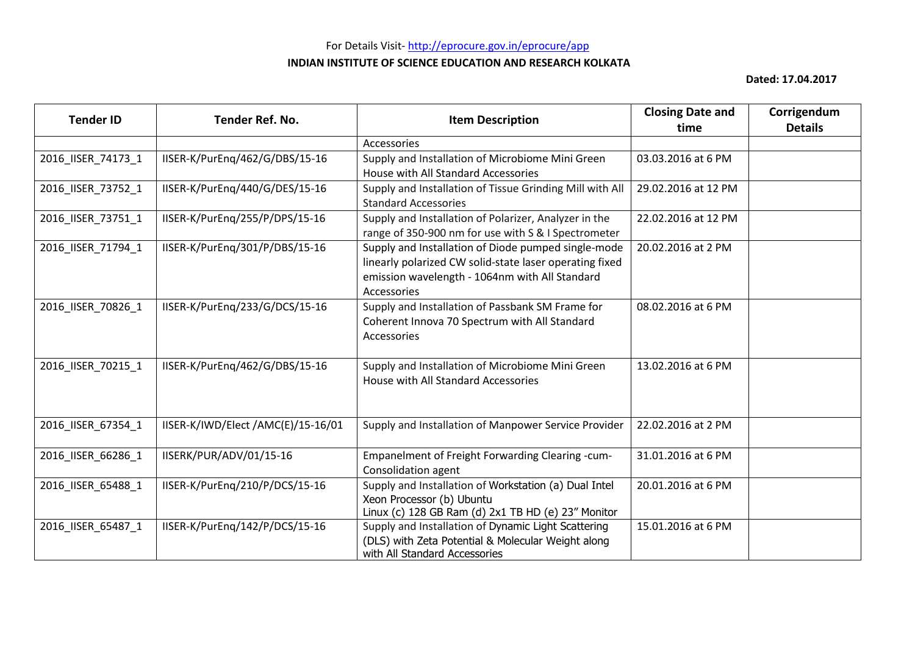# For Details Visit- http://eprocure.gov.in/eprocure/app

#### **INDIAN INSTITUTE OF SCIENCE EDUCATION AND RESEARCH KOLKATA**

| <b>Tender ID</b>   | Tender Ref. No.                    | <b>Item Description</b>                                                                                                                                                         | <b>Closing Date and</b><br>time | Corrigendum<br><b>Details</b> |
|--------------------|------------------------------------|---------------------------------------------------------------------------------------------------------------------------------------------------------------------------------|---------------------------------|-------------------------------|
|                    |                                    | Accessories                                                                                                                                                                     |                                 |                               |
| 2016_IISER_74173_1 | IISER-K/PurEng/462/G/DBS/15-16     | Supply and Installation of Microbiome Mini Green<br>House with All Standard Accessories                                                                                         | 03.03.2016 at 6 PM              |                               |
| 2016_IISER_73752_1 | IISER-K/PurEng/440/G/DES/15-16     | Supply and Installation of Tissue Grinding Mill with All<br><b>Standard Accessories</b>                                                                                         | 29.02.2016 at 12 PM             |                               |
| 2016_IISER_73751_1 | IISER-K/PurEng/255/P/DPS/15-16     | Supply and Installation of Polarizer, Analyzer in the<br>range of 350-900 nm for use with S & I Spectrometer                                                                    | 22.02.2016 at 12 PM             |                               |
| 2016 IISER 71794 1 | IISER-K/PurEng/301/P/DBS/15-16     | Supply and Installation of Diode pumped single-mode<br>linearly polarized CW solid-state laser operating fixed<br>emission wavelength - 1064nm with All Standard<br>Accessories | 20.02.2016 at 2 PM              |                               |
| 2016_IISER_70826_1 | IISER-K/PurEng/233/G/DCS/15-16     | Supply and Installation of Passbank SM Frame for<br>Coherent Innova 70 Spectrum with All Standard<br>Accessories                                                                | 08.02.2016 at 6 PM              |                               |
| 2016_IISER_70215_1 | IISER-K/PurEng/462/G/DBS/15-16     | Supply and Installation of Microbiome Mini Green<br>House with All Standard Accessories                                                                                         | 13.02.2016 at 6 PM              |                               |
| 2016_IISER_67354_1 | IISER-K/IWD/Elect /AMC(E)/15-16/01 | Supply and Installation of Manpower Service Provider                                                                                                                            | 22.02.2016 at 2 PM              |                               |
| 2016_IISER_66286_1 | IISERK/PUR/ADV/01/15-16            | Empanelment of Freight Forwarding Clearing -cum-<br>Consolidation agent                                                                                                         | 31.01.2016 at 6 PM              |                               |
| 2016_IISER_65488_1 | IISER-K/PurEng/210/P/DCS/15-16     | Supply and Installation of Workstation (a) Dual Intel<br>Xeon Processor (b) Ubuntu<br>Linux (c) 128 GB Ram (d) 2x1 TB HD (e) 23" Monitor                                        | 20.01.2016 at 6 PM              |                               |
| 2016 IISER 65487 1 | IISER-K/PurEng/142/P/DCS/15-16     | Supply and Installation of Dynamic Light Scattering<br>(DLS) with Zeta Potential & Molecular Weight along<br>with All Standard Accessories                                      | 15.01.2016 at 6 PM              |                               |